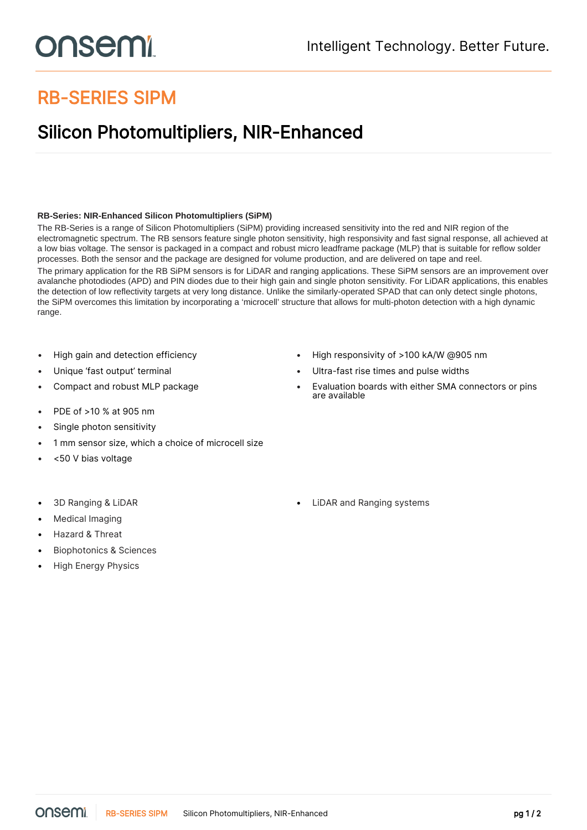## onsemi

## RB-SERIES SIPM

## Silicon Photomultipliers, NIR-Enhanced

## **RB-Series: NIR-Enhanced Silicon Photomultipliers (SiPM)**

The RB-Series is a range of Silicon Photomultipliers (SiPM) providing increased sensitivity into the red and NIR region of the electromagnetic spectrum. The RB sensors feature single photon sensitivity, high responsivity and fast signal response, all achieved at a low bias voltage. The sensor is packaged in a compact and robust micro leadframe package (MLP) that is suitable for reflow solder processes. Both the sensor and the package are designed for volume production, and are delivered on tape and reel. The primary application for the RB SiPM sensors is for LiDAR and ranging applications. These SiPM sensors are an improvement over avalanche photodiodes (APD) and PIN diodes due to their high gain and single photon sensitivity. For LiDAR applications, this enables the detection of low reflectivity targets at very long distance. Unlike the similarly-operated SPAD that can only detect single photons, the SiPM overcomes this limitation by incorporating a 'microcell' structure that allows for multi-photon detection with a high dynamic range.

- 
- 
- 
- PDE of >10 % at 905 nm
- Single photon sensitivity
- 1 mm sensor size, which a choice of microcell size
- <50 V bias voltage
- 
- Medical Imaging
- Hazard & Threat
- Biophotonics & Sciences
- High Energy Physics
- High gain and detection efficiency High responsivity of >100 kA/W @905 nm
- Unique 'fast output' terminal Ultra-fast rise times and pulse widths
- Compact and robust MLP package Evaluation boards with either SMA connectors or pins are available

• 3D Ranging & LiDAR • LiDAR and Ranging systems

onsemi RB-SERIES SIPM Silicon Photomultipliers, NIR-Enhanced